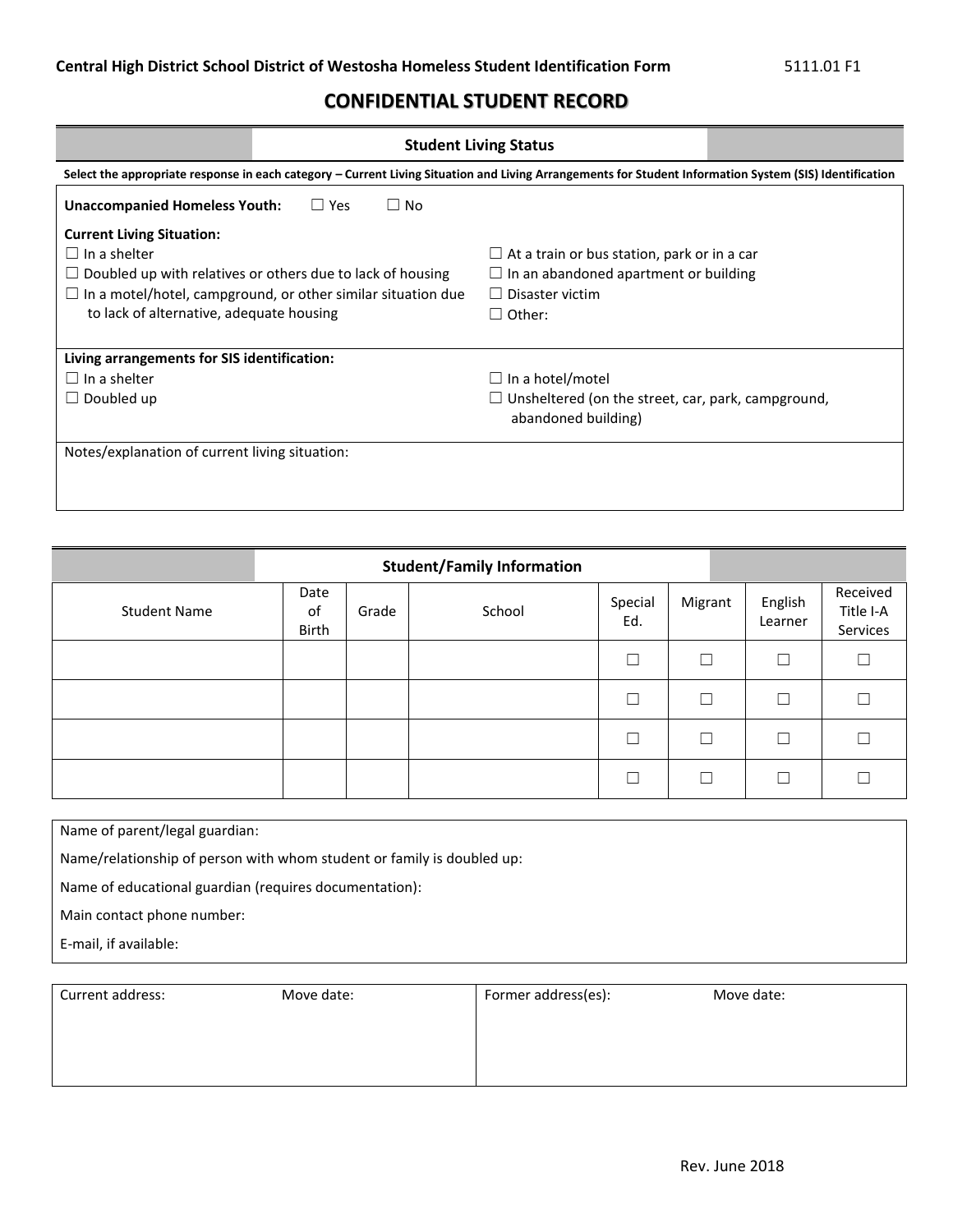## **CONFIDENTIAL STUDENT RECORD**

|                                                                                                                                                         | <b>Student Living Status</b> |                                                           |  |  |  |
|---------------------------------------------------------------------------------------------------------------------------------------------------------|------------------------------|-----------------------------------------------------------|--|--|--|
| Select the appropriate response in each category - Current Living Situation and Living Arrangements for Student Information System (SIS) Identification |                              |                                                           |  |  |  |
| $\Box$ No<br><b>Unaccompanied Homeless Youth:</b><br>$\Box$ Yes                                                                                         |                              |                                                           |  |  |  |
| <b>Current Living Situation:</b>                                                                                                                        |                              |                                                           |  |  |  |
| $\Box$ In a shelter                                                                                                                                     |                              | $\Box$ At a train or bus station, park or in a car        |  |  |  |
| $\Box$ Doubled up with relatives or others due to lack of housing                                                                                       |                              | $\Box$ In an abandoned apartment or building              |  |  |  |
| $\Box$ In a motel/hotel, campground, or other similar situation due                                                                                     |                              | $\Box$ Disaster victim                                    |  |  |  |
| to lack of alternative, adequate housing                                                                                                                |                              | $\Box$ Other:                                             |  |  |  |
|                                                                                                                                                         |                              |                                                           |  |  |  |
| Living arrangements for SIS identification:                                                                                                             |                              |                                                           |  |  |  |
| $\Box$ In a shelter                                                                                                                                     |                              | $\Box$ In a hotel/motel                                   |  |  |  |
| $\Box$ Doubled up                                                                                                                                       |                              | $\Box$ Unsheltered (on the street, car, park, campground, |  |  |  |
|                                                                                                                                                         |                              | abandoned building)                                       |  |  |  |
|                                                                                                                                                         |                              |                                                           |  |  |  |
| Notes/explanation of current living situation:                                                                                                          |                              |                                                           |  |  |  |
|                                                                                                                                                         |                              |                                                           |  |  |  |
|                                                                                                                                                         |                              |                                                           |  |  |  |

| <b>Student/Family Information</b> |                     |       |        |                |         |                    |                                   |
|-----------------------------------|---------------------|-------|--------|----------------|---------|--------------------|-----------------------------------|
| <b>Student Name</b>               | Date<br>0f<br>Birth | Grade | School | Special<br>Ed. | Migrant | English<br>Learner | Received<br>Title I-A<br>Services |
|                                   |                     |       |        |                | Г       | □                  |                                   |
|                                   |                     |       |        |                | $\Box$  | П                  |                                   |
|                                   |                     |       |        |                | □       | $\Box$             |                                   |
|                                   |                     |       |        |                | П       | ┐                  |                                   |

Name of parent/legal guardian:

Name/relationship of person with whom student or family is doubled up:

Name of educational guardian (requires documentation):

Main contact phone number:

E-mail, if available:

| Current address: | Move date: | Former address(es): | Move date: |
|------------------|------------|---------------------|------------|
|                  |            |                     |            |
|                  |            |                     |            |
|                  |            |                     |            |